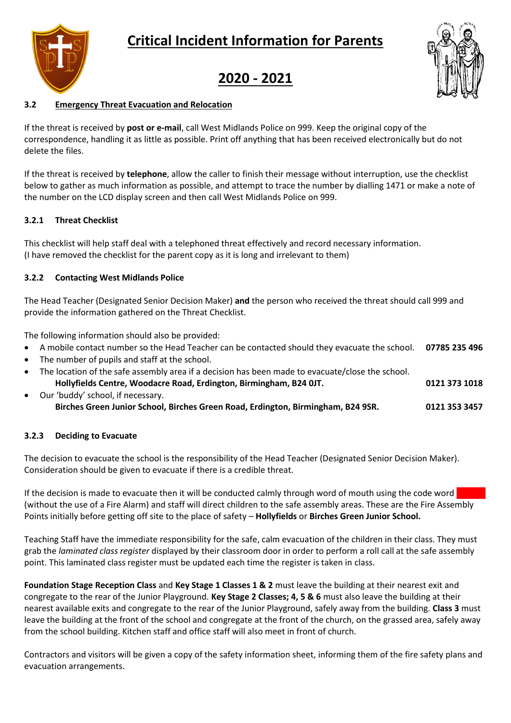# **Critical Incident Information for Parents**





## **2020 - 2021**

## **3.2 Emergency Threat Evacuation and Relocation**

If the threat is received by **post or e-mail**, call West Midlands Police on 999. Keep the original copy of the correspondence, handling it as little as possible. Print off anything that has been received electronically but do not delete the files.

If the threat is received by **telephone**, allow the caller to finish their message without interruption, use the checklist below to gather as much information as possible, and attempt to trace the number by dialling 1471 or make a note of the number on the LCD display screen and then call West Midlands Police on 999.

### **3.2.1 Threat Checklist**

This checklist will help staff deal with a telephoned threat effectively and record necessary information. (I have removed the checklist for the parent copy as it is long and irrelevant to them)

### **3.2.2 Contacting West Midlands Police**

The Head Teacher (Designated Senior Decision Maker) **and** the person who received the threat should call 999 and provide the information gathered on the Threat Checklist.

The following information should also be provided:

- A mobile contact number so the Head Teacher can be contacted should they evacuate the school. **07785 235 496**
- The number of pupils and staff at the school.
- The location of the safe assembly area if a decision has been made to evacuate/close the school. **Hollyfields Centre, Woodacre Road, Erdington, Birmingham, B24 0JT. 0121 373 1018**
- Our 'buddy' school, if necessary. **Birches Green Junior School, Birches Green Road, Erdington, Birmingham, B24 9SR. 0121 353 3457**

### **3.2.3 Deciding to Evacuate**

The decision to evacuate the school is the responsibility of the Head Teacher (Designated Senior Decision Maker). Consideration should be given to evacuate if there is a credible threat.

If the decision is made to evacuate then it will be conducted calmly through word of mouth using the code word (without the use of a Fire Alarm) and staff will direct children to the safe assembly areas. These are the Fire Assembly Points initially before getting off site to the place of safety – **Hollyfields** or **Birches Green Junior School.**

Teaching Staff have the immediate responsibility for the safe, calm evacuation of the children in their class. They must grab the *laminated class register* displayed by their classroom door in order to perform a roll call at the safe assembly point. This laminated class register must be updated each time the register is taken in class.

**Foundation Stage Reception Class** and **Key Stage 1 Classes 1 & 2** must leave the building at their nearest exit and congregate to the rear of the Junior Playground. **Key Stage 2 Classes; 4, 5 & 6** must also leave the building at their nearest available exits and congregate to the rear of the Junior Playground, safely away from the building. **Class 3** must leave the building at the front of the school and congregate at the front of the church, on the grassed area, safely away from the school building. Kitchen staff and office staff will also meet in front of church.

Contractors and visitors will be given a copy of the safety information sheet, informing them of the fire safety plans and evacuation arrangements.